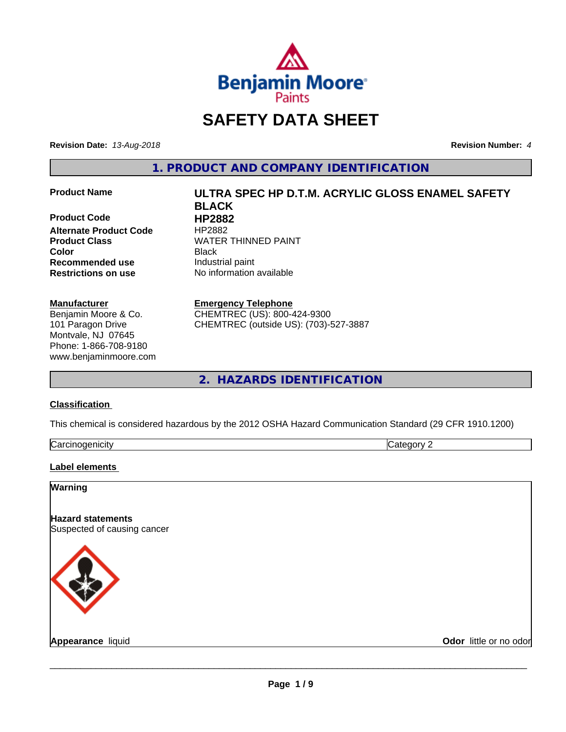

# **SAFETY DATA SHEET**

**Revision Date:** *13-Aug-2018* **Revision Number:** *4*

**1. PRODUCT AND COMPANY IDENTIFICATION**

**Product Code 
<b>HP2882**<br> **Alternate Product Code** 
HP2882 **Alternate Product Code Recommended use** Industrial paint **Restrictions on use** No information available

#### **Manufacturer**

Benjamin Moore & Co. 101 Paragon Drive Montvale, NJ 07645 Phone: 1-866-708-9180 www.benjaminmoore.com

# **Product Name ULTRA SPEC HP D.T.M. ACRYLIC GLOSS ENAMEL SAFETY BLACK Product Class WATER THINNED PAINT Color** Black

### **Emergency Telephone**

CHEMTREC (US): 800-424-9300 CHEMTREC (outside US): (703)-527-3887

**2. HAZARDS IDENTIFICATION**

#### **Classification**

This chemical is considered hazardous by the 2012 OSHA Hazard Communication Standard (29 CFR 1910.1200)

| . .<br>. 1100<br>$\overline{a}$<br> | И |
|-------------------------------------|---|

#### **Label elements**

## **Warning**

**Hazard statements** Suspected of causing cancer



**Appearance** liquid **Contract Contract Contract Contract Contract Contract Contract Contract Contract Contract Contract Contract Contract Contract Contract Contract Contract Contract Contract Contract Contract Contract Con**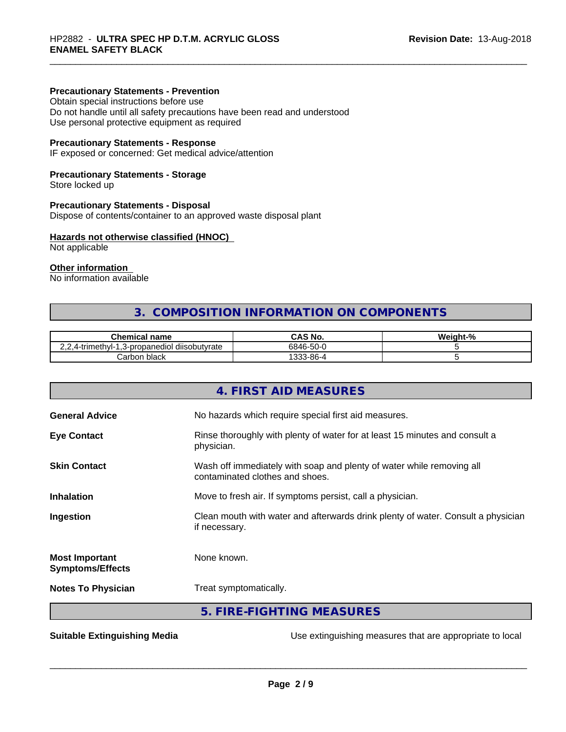### **Precautionary Statements - Prevention**

Obtain special instructions before use Do not handle until all safety precautions have been read and understood Use personal protective equipment as required

### **Precautionary Statements - Response**

IF exposed or concerned: Get medical advice/attention

# **Precautionary Statements - Storage**

Store locked up

#### **Precautionary Statements - Disposal**

Dispose of contents/container to an approved waste disposal plant

#### **Hazards not otherwise classified (HNOC)**

Not applicable

# **Other information**

No information available

# **3. COMPOSITION INFORMATION ON COMPONENTS**

| <b>Chemical name</b>                                               | CAS No.                     | $\mathbf{a}$<br><br>eiaht. |
|--------------------------------------------------------------------|-----------------------------|----------------------------|
| .<br>' diisobutvrate<br>-propanediol<br>'.4-trimeth∨l-<br>. ت<br>. | $-\sim$<br>6846-50          |                            |
| black<br>arborز                                                    | 0C.<br>$\sim$<br>. აპპ-შნ-" |                            |

|                                                  | 4. FIRST AID MEASURES                                                                                    |
|--------------------------------------------------|----------------------------------------------------------------------------------------------------------|
| <b>General Advice</b>                            | No hazards which require special first aid measures.                                                     |
| <b>Eye Contact</b>                               | Rinse thoroughly with plenty of water for at least 15 minutes and consult a<br>physician.                |
| <b>Skin Contact</b>                              | Wash off immediately with soap and plenty of water while removing all<br>contaminated clothes and shoes. |
| <b>Inhalation</b>                                | Move to fresh air. If symptoms persist, call a physician.                                                |
| Ingestion                                        | Clean mouth with water and afterwards drink plenty of water. Consult a physician<br>if necessary.        |
| <b>Most Important</b><br><b>Symptoms/Effects</b> | None known.                                                                                              |
| <b>Notes To Physician</b>                        | Treat symptomatically.                                                                                   |
|                                                  | 5. FIRE-FIGHTING MEASURES                                                                                |

**Suitable Extinguishing Media** Use extinguishing measures that are appropriate to local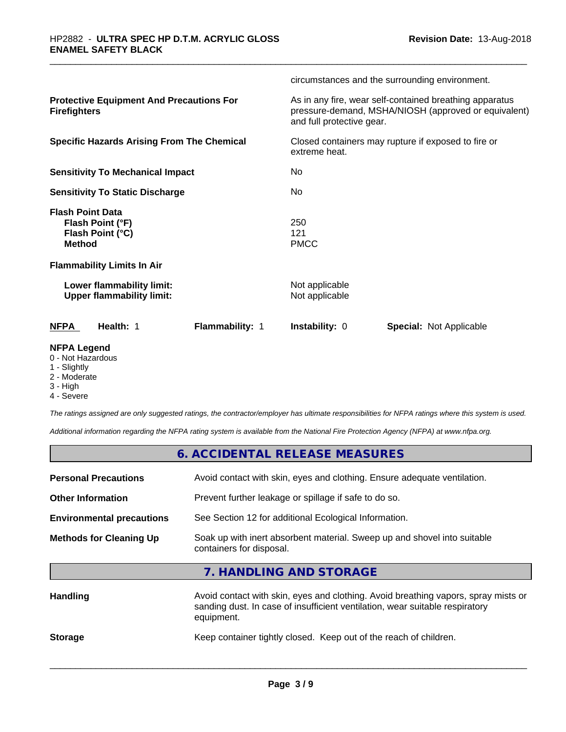|                                                                                  | circumstances and the surrounding environment.                                                                                               |
|----------------------------------------------------------------------------------|----------------------------------------------------------------------------------------------------------------------------------------------|
| <b>Protective Equipment And Precautions For</b><br><b>Firefighters</b>           | As in any fire, wear self-contained breathing apparatus<br>pressure-demand, MSHA/NIOSH (approved or equivalent)<br>and full protective gear. |
| <b>Specific Hazards Arising From The Chemical</b>                                | Closed containers may rupture if exposed to fire or<br>extreme heat.                                                                         |
| <b>Sensitivity To Mechanical Impact</b>                                          | No.                                                                                                                                          |
| <b>Sensitivity To Static Discharge</b>                                           | <b>No</b>                                                                                                                                    |
| <b>Flash Point Data</b><br>Flash Point (°F)<br>Flash Point (°C)<br><b>Method</b> | 250<br>121<br><b>PMCC</b>                                                                                                                    |
| <b>Flammability Limits In Air</b>                                                |                                                                                                                                              |
| Lower flammability limit:<br><b>Upper flammability limit:</b>                    | Not applicable<br>Not applicable                                                                                                             |
| <b>NFPA</b><br>Health: 1<br>Flammability: 1                                      | <b>Instability: 0</b><br><b>Special: Not Applicable</b>                                                                                      |
| <b>NFPA Legend</b><br>0 - Not Hazardous                                          |                                                                                                                                              |

- 
- 1 Slightly
- 2 Moderate
- 3 High
- 4 Severe

*The ratings assigned are only suggested ratings, the contractor/employer has ultimate responsibilities for NFPA ratings where this system is used.*

*Additional information regarding the NFPA rating system is available from the National Fire Protection Agency (NFPA) at www.nfpa.org.*

|                                                                                           | 6. ACCIDENTAL RELEASE MEASURES                                                                                                                                                   |  |  |
|-------------------------------------------------------------------------------------------|----------------------------------------------------------------------------------------------------------------------------------------------------------------------------------|--|--|
| <b>Personal Precautions</b>                                                               | Avoid contact with skin, eyes and clothing. Ensure adequate ventilation.                                                                                                         |  |  |
| <b>Other Information</b>                                                                  | Prevent further leakage or spillage if safe to do so.                                                                                                                            |  |  |
| See Section 12 for additional Ecological Information.<br><b>Environmental precautions</b> |                                                                                                                                                                                  |  |  |
| <b>Methods for Cleaning Up</b>                                                            | Soak up with inert absorbent material. Sweep up and shovel into suitable<br>containers for disposal.                                                                             |  |  |
|                                                                                           | 7. HANDLING AND STORAGE                                                                                                                                                          |  |  |
| <b>Handling</b>                                                                           | Avoid contact with skin, eyes and clothing. Avoid breathing vapors, spray mists or<br>sanding dust. In case of insufficient ventilation, wear suitable respiratory<br>equipment. |  |  |

**Storage** Keep container tightly closed. Keep out of the reach of children.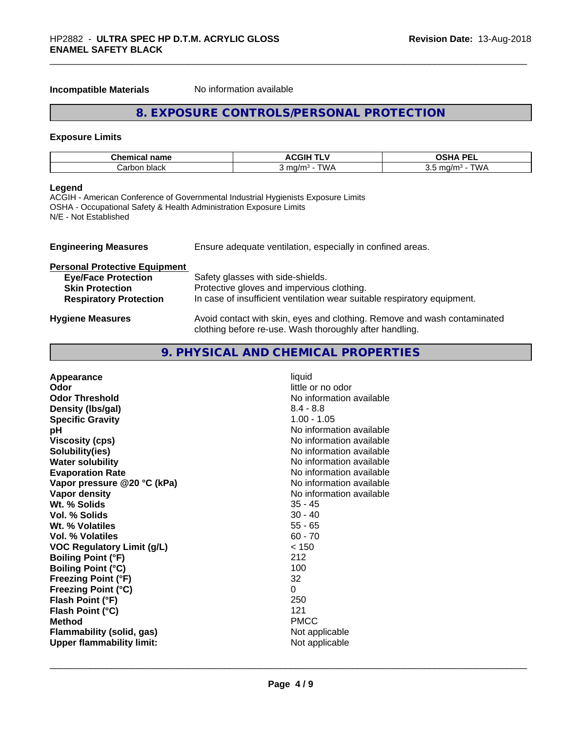#### **Incompatible Materials** No information available

# **8. EXPOSURE CONTROLS/PERSONAL PROTECTION**

### **Exposure Limits**

| <b>Chemical name</b> | ACGIH <sup>-</sup><br>. . | וסם געפ<br>--                   |
|----------------------|---------------------------|---------------------------------|
| black<br>じarbor      | TM/A<br>`ma/m∘<br>v v     | <b>TWA</b><br>na/m<br>1.)<br>◡. |

### **Legend**

ACGIH - American Conference of Governmental Industrial Hygienists Exposure Limits OSHA - Occupational Safety & Health Administration Exposure Limits N/E - Not Established

| <b>Engineering Measures</b>          | Ensure adequate ventilation, especially in confined areas.                                                                          |
|--------------------------------------|-------------------------------------------------------------------------------------------------------------------------------------|
| <b>Personal Protective Equipment</b> |                                                                                                                                     |
| <b>Eye/Face Protection</b>           | Safety glasses with side-shields.                                                                                                   |
| <b>Skin Protection</b>               | Protective gloves and impervious clothing.                                                                                          |
| <b>Respiratory Protection</b>        | In case of insufficient ventilation wear suitable respiratory equipment.                                                            |
| <b>Hygiene Measures</b>              | Avoid contact with skin, eyes and clothing. Remove and wash contaminated<br>clothing before re-use. Wash thoroughly after handling. |

# **9. PHYSICAL AND CHEMICAL PROPERTIES**

| Density (Ibs/gal)<br>$8.4 - 8.8$<br>$1.00 - 1.05$<br><b>Specific Gravity</b><br>pH<br><b>Viscosity (cps)</b><br>Solubility(ies)<br><b>Water solubility</b><br><b>Evaporation Rate</b><br>Vapor pressure @20 °C (kPa)<br>Vapor density<br>Wt. % Solids<br>$35 - 45$<br><b>Vol. % Solids</b><br>$30 - 40$<br>Wt. % Volatiles<br>$55 - 65$<br>$60 - 70$<br>Vol. % Volatiles<br>< 150<br><b>VOC Regulatory Limit (g/L)</b><br>212<br><b>Boiling Point (°F)</b><br>100<br><b>Boiling Point (°C)</b><br><b>Freezing Point (°F)</b><br>32<br><b>Freezing Point (°C)</b><br>0<br>250<br>Flash Point (°F)<br>121<br>Flash Point (°C)<br><b>Method</b><br><b>PMCC</b><br><b>Flammability (solid, gas)</b> | No information available<br>No information available<br>No information available<br>No information available<br>No information available<br>No information available<br>No information available<br>Not applicable |
|-------------------------------------------------------------------------------------------------------------------------------------------------------------------------------------------------------------------------------------------------------------------------------------------------------------------------------------------------------------------------------------------------------------------------------------------------------------------------------------------------------------------------------------------------------------------------------------------------------------------------------------------------------------------------------------------------|--------------------------------------------------------------------------------------------------------------------------------------------------------------------------------------------------------------------|
| <b>Upper flammability limit:</b>                                                                                                                                                                                                                                                                                                                                                                                                                                                                                                                                                                                                                                                                | Not applicable                                                                                                                                                                                                     |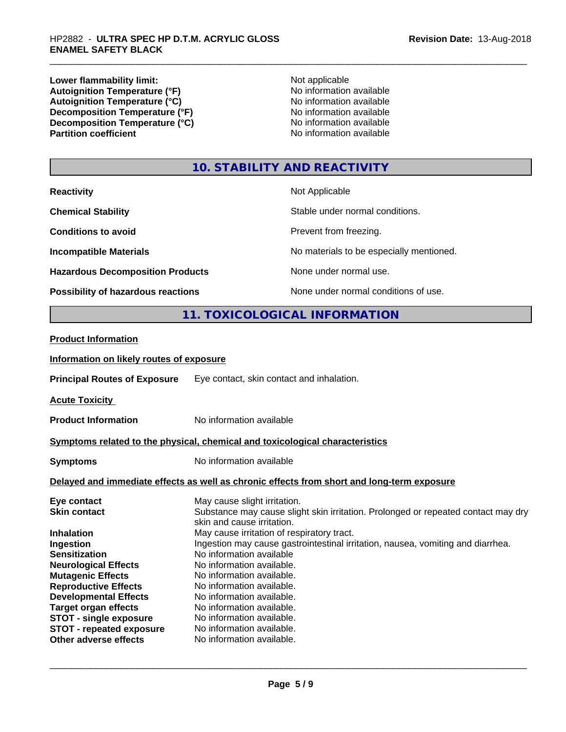**Lower flammability limit:**<br> **Autoignition Temperature (°F)** Not applicable Not applicable not a Not applicable **Autoignition Temperature (°F)**<br> **Autoignition Temperature (°C)** No information available Autoignition Temperature (°C)<br>
Decomposition Temperature (°F)<br>
No information available **Decomposition Temperature (°F)**<br> **Decomposition Temperature (°C)**<br>
No information available **Decomposition Temperature (°C)**<br>Partition coefficient

**No information available** 

# **10. STABILITY AND REACTIVITY**

| <b>Reactivity</b>                       | Not Applicable                           |
|-----------------------------------------|------------------------------------------|
| <b>Chemical Stability</b>               | Stable under normal conditions.          |
| <b>Conditions to avoid</b>              | Prevent from freezing.                   |
| <b>Incompatible Materials</b>           | No materials to be especially mentioned. |
| <b>Hazardous Decomposition Products</b> | None under normal use.                   |
| Possibility of hazardous reactions      | None under normal conditions of use.     |

# **11. TOXICOLOGICAL INFORMATION**

#### **Product Information**

#### **Information on likely routes of exposure**

**Principal Routes of Exposure** Eye contact, skin contact and inhalation.

**Acute Toxicity** 

**Product Information** No information available

#### **<u>Symptoms related to the physical, chemical and toxicological characteristics</u>**

**Symptoms** No information available

#### **Delayed and immediate effects as well as chronic effects from short and long-term exposure**

| Eye contact                     | May cause slight irritation.                                                      |
|---------------------------------|-----------------------------------------------------------------------------------|
| <b>Skin contact</b>             | Substance may cause slight skin irritation. Prolonged or repeated contact may dry |
|                                 | skin and cause irritation.                                                        |
| <b>Inhalation</b>               | May cause irritation of respiratory tract.                                        |
| Ingestion                       | Ingestion may cause gastrointestinal irritation, nausea, vomiting and diarrhea.   |
| <b>Sensitization</b>            | No information available                                                          |
| <b>Neurological Effects</b>     | No information available.                                                         |
| <b>Mutagenic Effects</b>        | No information available.                                                         |
| <b>Reproductive Effects</b>     | No information available.                                                         |
| <b>Developmental Effects</b>    | No information available.                                                         |
| <b>Target organ effects</b>     | No information available.                                                         |
| <b>STOT - single exposure</b>   | No information available.                                                         |
| <b>STOT - repeated exposure</b> | No information available.                                                         |
| Other adverse effects           | No information available.                                                         |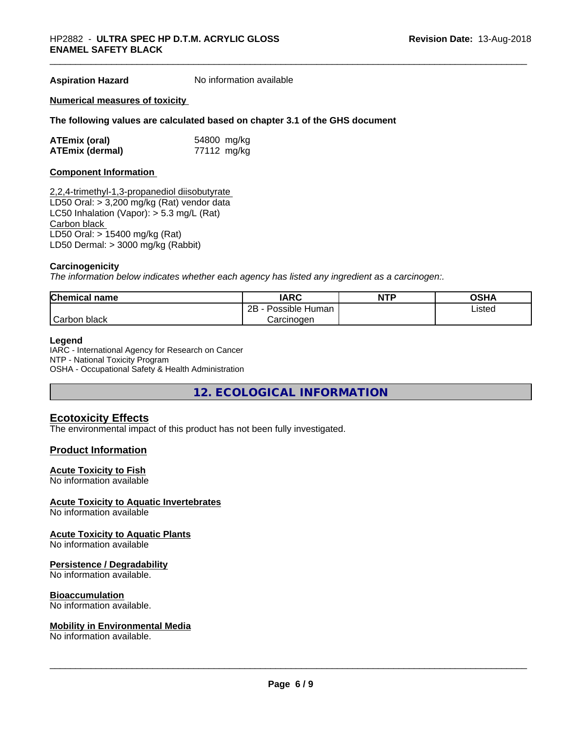**Aspiration Hazard** No information available

#### **Numerical measures of toxicity**

#### **The following values are calculated based on chapter 3.1 of the GHS document**

| <b>ATEmix (oral)</b>   | 54800 mg/kg |
|------------------------|-------------|
| <b>ATEmix (dermal)</b> | 77112 mg/kg |

#### **Component Information**

2,2,4-trimethyl-1,3-propanediol diisobutyrate LD50 Oral: > 3,200 mg/kg (Rat) vendor data LC50 Inhalation (Vapor): > 5.3 mg/L (Rat) Carbon black LD50 Oral: > 15400 mg/kg (Rat) LD50 Dermal: > 3000 mg/kg (Rabbit)

#### **Carcinogenicity**

*The information below indicateswhether each agency has listed any ingredient as a carcinogen:.*

| <b>Chemical</b><br>name   | <b>IARC</b>               | <b>NTP</b> | <b>OSHA</b> |
|---------------------------|---------------------------|------------|-------------|
|                           | .<br>2B<br>Possible Human |            | Listed      |
| $\sim$<br>black<br>Carbon | Carcinogen                |            |             |

#### **Legend**

IARC - International Agency for Research on Cancer NTP - National Toxicity Program OSHA - Occupational Safety & Health Administration

**12. ECOLOGICAL INFORMATION**

# **Ecotoxicity Effects**

The environmental impact of this product has not been fully investigated.

### **Product Information**

#### **Acute Toxicity to Fish**

No information available

#### **Acute Toxicity to Aquatic Invertebrates**

No information available

#### **Acute Toxicity to Aquatic Plants**

No information available

#### **Persistence / Degradability**

No information available.

#### **Bioaccumulation**

No information available.

#### **Mobility in Environmental Media**

No information available.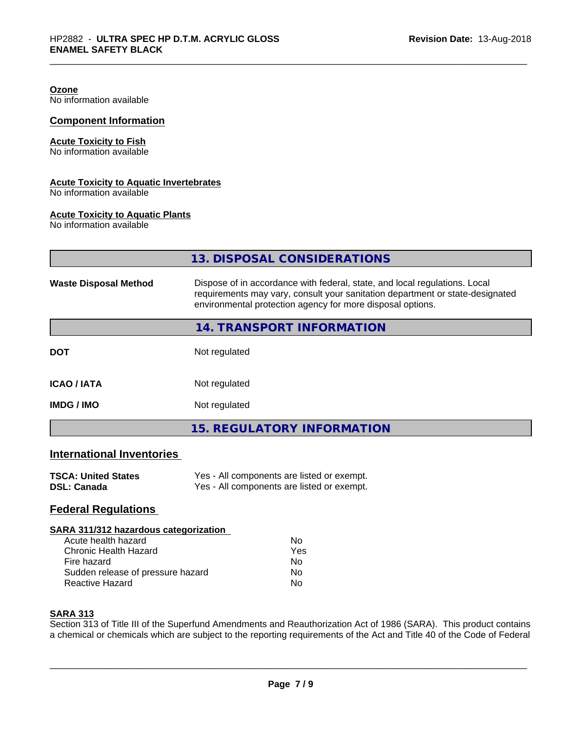#### **Ozone** No information available

**Component Information**

# **Acute Toxicity to Fish**

No information available

# **Acute Toxicity to Aquatic Invertebrates**

No information available

#### **Acute Toxicity to Aquatic Plants**

No information available

|                                  | 13. DISPOSAL CONSIDERATIONS                                                                                                                                                                                               |
|----------------------------------|---------------------------------------------------------------------------------------------------------------------------------------------------------------------------------------------------------------------------|
| <b>Waste Disposal Method</b>     | Dispose of in accordance with federal, state, and local regulations. Local<br>requirements may vary, consult your sanitation department or state-designated<br>environmental protection agency for more disposal options. |
|                                  | 14. TRANSPORT INFORMATION                                                                                                                                                                                                 |
| <b>DOT</b>                       | Not regulated                                                                                                                                                                                                             |
| <b>ICAO/IATA</b>                 | Not regulated                                                                                                                                                                                                             |
| <b>IMDG/IMO</b>                  | Not regulated                                                                                                                                                                                                             |
|                                  | <b>15. REGULATORY INFORMATION</b>                                                                                                                                                                                         |
| <b>International Inventories</b> |                                                                                                                                                                                                                           |

# **TSCA: United States** Yes - All components are listed or exempt.<br> **DSL: Canada** Yes - All components are listed or exempt. Yes - All components are listed or exempt.

# **Federal Regulations**

#### **SARA 311/312 hazardous categorization**

| Acute health hazard               | Nο  |
|-----------------------------------|-----|
| Chronic Health Hazard             | Yes |
| Fire hazard                       | Nο  |
| Sudden release of pressure hazard | N٥  |
| Reactive Hazard                   | N٥  |

#### **SARA 313**

Section 313 of Title III of the Superfund Amendments and Reauthorization Act of 1986 (SARA). This product contains a chemical or chemicals which are subject to the reporting requirements of the Act and Title 40 of the Code of Federal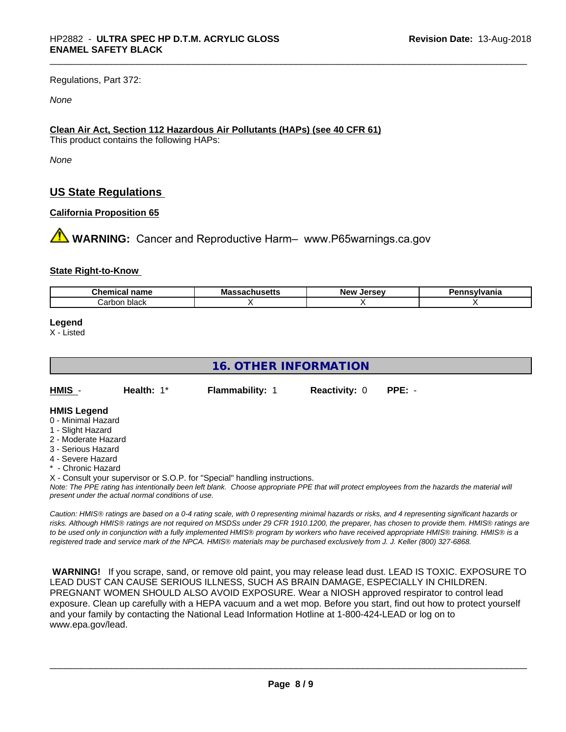Regulations, Part 372:

*None*

# **Clean Air Act,Section 112 Hazardous Air Pollutants (HAPs) (see 40 CFR 61)**

This product contains the following HAPs:

*None*

# **US State Regulations**

# **California Proposition 65**

**XX WARNING:** Cancer and Reproductive Harm– www.P65warnings.ca.gov

#### **State Right-to-Know**

| $\sim$<br>.<br>$-1$<br>name<br>- Guernica. | M 2<br>mass.<br>--aaulluscus | I<br><b>Nev</b><br><br>$-1$ | <b>`nsvivania</b> |
|--------------------------------------------|------------------------------|-----------------------------|-------------------|
| black<br>⊺arbonٽ                           |                              |                             |                   |

**Legend**

X - Listed

# **16. OTHER INFORMATION** *Note: The PPE rating has intentionally been left blank. Choose appropriate PPE that will protect employees from the hazards the material will present under the actual normal conditions of use. Caution: HMISÒ ratings are based on a 0-4 rating scale, with 0 representing minimal hazards or risks, and 4 representing significant hazards or risks. Although HMISÒ ratings are not required on MSDSs under 29 CFR 1910.1200, the preparer, has chosen to provide them. HMISÒ ratings are to be used only in conjunction with a fully implemented HMISÒ program by workers who have received appropriate HMISÒ training. HMISÒ is a registered trade and service mark of the NPCA. HMISÒ materials may be purchased exclusively from J. J. Keller (800) 327-6868.* **HMIS** - **Health:** 1\* **Flammability:** 1 **Reactivity:** 0 **PPE:** - **HMIS Legend** 0 - Minimal Hazard 1 - Slight Hazard 2 - Moderate Hazard 3 - Serious Hazard 4 - Severe Hazard **- Chronic Hazard** X - Consult your supervisor or S.O.P. for "Special" handling instructions.

 **WARNING!** If you scrape, sand, or remove old paint, you may release lead dust. LEAD IS TOXIC. EXPOSURE TO LEAD DUST CAN CAUSE SERIOUS ILLNESS, SUCH AS BRAIN DAMAGE, ESPECIALLY IN CHILDREN. PREGNANT WOMEN SHOULD ALSO AVOID EXPOSURE.Wear a NIOSH approved respirator to control lead exposure. Clean up carefully with a HEPA vacuum and a wet mop. Before you start, find out how to protect yourself and your family by contacting the National Lead Information Hotline at 1-800-424-LEAD or log on to www.epa.gov/lead.